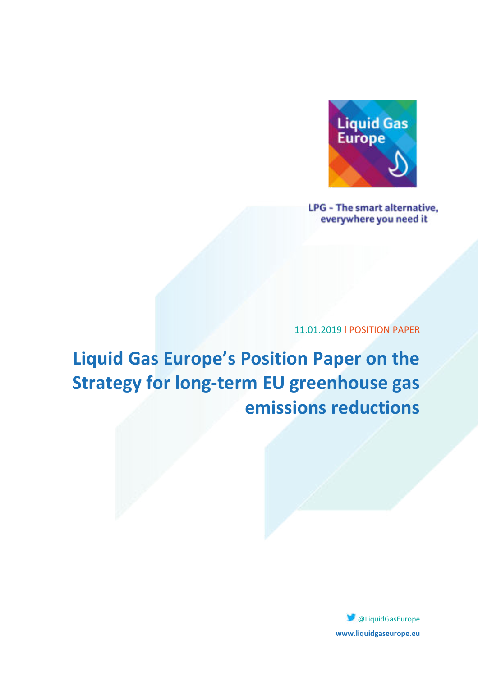

**LPG - The smart alternative,** everywhere you need it

11.01.2019 l POSITION PAPER

**Liquid Gas Europe's Position Paper on the Strategy for long-term EU greenhouse gas emissions reductions** 

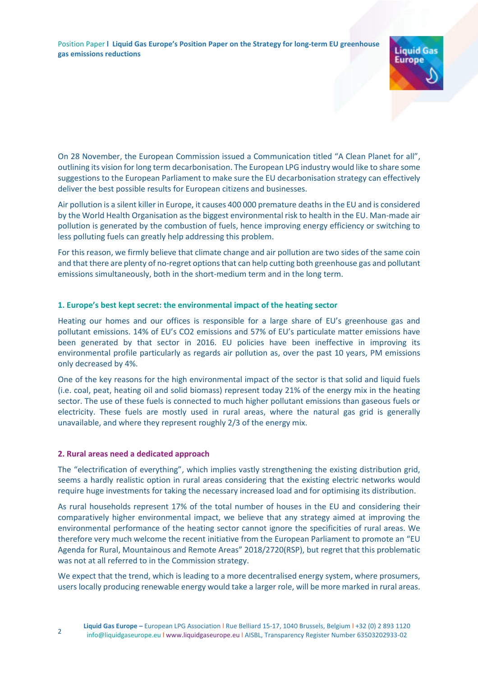Position Paper **l Liquid Gas Europe's Position Paper on the Strategy for long-term EU greenhouse gas emissions reductions** 



On 28 November, the European Commission issued a Communication titled "A Clean Planet for all", outlining its vision for long term decarbonisation. The European LPG industry would like to share some suggestions to the European Parliament to make sure the EU decarbonisation strategy can effectively deliver the best possible results for European citizens and businesses.

Air pollution is a silent killer in Europe, it causes 400 000 premature deaths in the EU and is considered by the World Health Organisation as the biggest environmental risk to health in the EU. Man-made air pollution is generated by the combustion of fuels, hence improving energy efficiency or switching to less polluting fuels can greatly help addressing this problem.

For this reason, we firmly believe that climate change and air pollution are two sides of the same coin and that there are plenty of no-regret options that can help cutting both greenhouse gas and pollutant emissions simultaneously, both in the short-medium term and in the long term.

## **1. Europe's best kept secret: the environmental impact of the heating sector**

Heating our homes and our offices is responsible for a large share of EU's greenhouse gas and pollutant emissions. 14% of EU's CO2 emissions and 57% of EU's particulate matter emissions have been generated by that sector in 2016. EU policies have been ineffective in improving its environmental profile particularly as regards air pollution as, over the past 10 years, PM emissions only decreased by 4%.

One of the key reasons for the high environmental impact of the sector is that solid and liquid fuels (i.e. coal, peat, heating oil and solid biomass) represent today 21% of the energy mix in the heating sector. The use of these fuels is connected to much higher pollutant emissions than gaseous fuels or electricity. These fuels are mostly used in rural areas, where the natural gas grid is generally unavailable, and where they represent roughly 2/3 of the energy mix.

### **2. Rural areas need a dedicated approach**

The "electrification of everything", which implies vastly strengthening the existing distribution grid, seems a hardly realistic option in rural areas considering that the existing electric networks would require huge investments for taking the necessary increased load and for optimising its distribution.

As rural households represent 17% of the total number of houses in the EU and considering their comparatively higher environmental impact, we believe that any strategy aimed at improving the environmental performance of the heating sector cannot ignore the specificities of rural areas. We therefore very much welcome the recent initiative from the European Parliament to promote an "EU Agenda for Rural, Mountainous and Remote Areas" 2018/2720(RSP), but regret that this problematic was not at all referred to in the Commission strategy.

We expect that the trend, which is leading to a more decentralised energy system, where prosumers, users locally producing renewable energy would take a larger role, will be more marked in rural areas.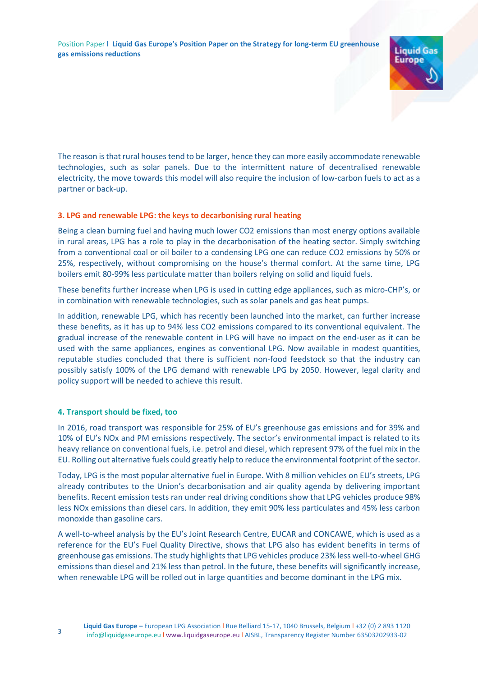

The reason is that rural houses tend to be larger, hence they can more easily accommodate renewable technologies, such as solar panels. Due to the intermittent nature of decentralised renewable electricity, the move towards this model will also require the inclusion of low-carbon fuels to act as a partner or back-up.

# **3. LPG and renewable LPG: the keys to decarbonising rural heating**

Being a clean burning fuel and having much lower CO2 emissions than most energy options available in rural areas, LPG has a role to play in the decarbonisation of the heating sector. Simply switching from a conventional coal or oil boiler to a condensing LPG one can reduce CO2 emissions by 50% or 25%, respectively, without compromising on the house's thermal comfort. At the same time, LPG boilers emit 80-99% less particulate matter than boilers relying on solid and liquid fuels.

These benefits further increase when LPG is used in cutting edge appliances, such as micro-CHP's, or in combination with renewable technologies, such as solar panels and gas heat pumps.

In addition, renewable LPG, which has recently been launched into the market, can further increase these benefits, as it has up to 94% less CO2 emissions compared to its conventional equivalent. The gradual increase of the renewable content in LPG will have no impact on the end-user as it can be used with the same appliances, engines as conventional LPG. Now available in modest quantities, reputable studies concluded that there is sufficient non-food feedstock so that the industry can possibly satisfy 100% of the LPG demand with renewable LPG by 2050. However, legal clarity and policy support will be needed to achieve this result.

# **4. Transport should be fixed, too**

In 2016, road transport was responsible for 25% of EU's greenhouse gas emissions and for 39% and 10% of EU's NOx and PM emissions respectively. The sector's environmental impact is related to its heavy reliance on conventional fuels, i.e. petrol and diesel, which represent 97% of the fuel mix in the EU. Rolling out alternative fuels could greatly help to reduce the environmental footprint of the sector.

Today, LPG is the most popular alternative fuel in Europe. With 8 million vehicles on EU's streets, LPG already contributes to the Union's decarbonisation and air quality agenda by delivering important benefits. Recent emission tests ran under real driving conditions show that LPG vehicles produce 98% less NOx emissions than diesel cars. In addition, they emit 90% less particulates and 45% less carbon monoxide than gasoline cars.

A well-to-wheel analysis by the EU's Joint Research Centre, EUCAR and CONCAWE, which is used as a reference for the EU's Fuel Quality Directive, shows that LPG also has evident benefits in terms of greenhouse gas emissions. The study highlights that LPG vehicles produce 23% less well-to-wheel GHG emissions than diesel and 21% less than petrol. In the future, these benefits will significantly increase, when renewable LPG will be rolled out in large quantities and become dominant in the LPG mix.